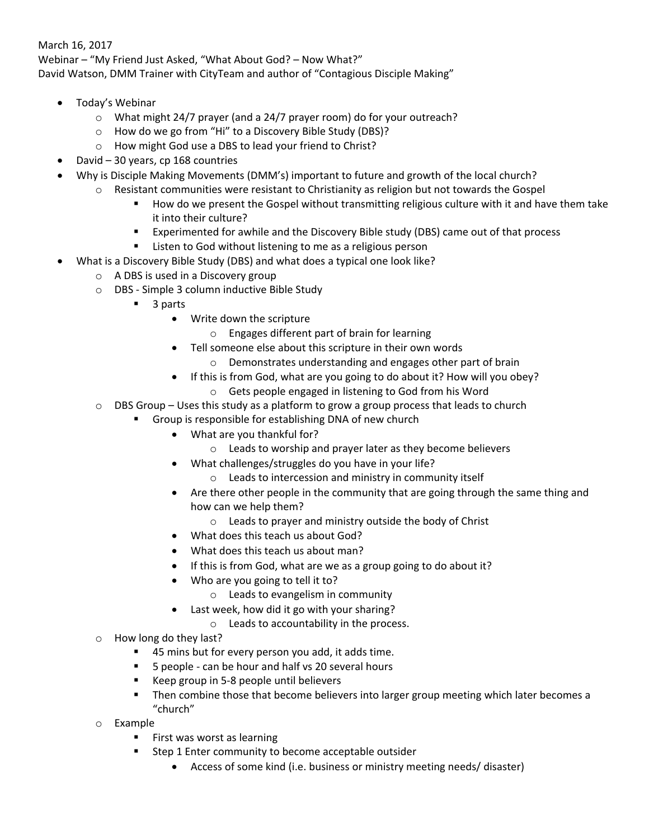## March 16, 2017

Webinar – "My Friend Just Asked, "What About God? – Now What?" David Watson, DMM Trainer with CityTeam and author of "Contagious Disciple Making"

- Today's Webinar
	- o What might 24/7 prayer (and a 24/7 prayer room) do for your outreach?
	- o How do we go from "Hi" to a Discovery Bible Study (DBS)?
	- o How might God use a DBS to lead your friend to Christ?
- David 30 years, cp 168 countries
- Why is Disciple Making Movements (DMM's) important to future and growth of the local church?
	- $\circ$  Resistant communities were resistant to Christianity as religion but not towards the Gospel
		- **How do we present the Gospel without transmitting religious culture with it and have them take** it into their culture?
		- Experimented for awhile and the Discovery Bible study (DBS) came out of that process
		- **E** Listen to God without listening to me as a religious person
- What is a Discovery Bible Study (DBS) and what does a typical one look like?
	- o A DBS is used in a Discovery group
	- o DBS Simple 3 column inductive Bible Study
		- 3 parts
			- Write down the scripture
				- o Engages different part of brain for learning
			- Tell someone else about this scripture in their own words
				- o Demonstrates understanding and engages other part of brain
			- If this is from God, what are you going to do about it? How will you obey?
				- o Gets people engaged in listening to God from his Word
	- $\circ$  DBS Group Uses this study as a platform to grow a group process that leads to church
		- Group is responsible for establishing DNA of new church
			- What are you thankful for?
				- o Leads to worship and prayer later as they become believers
			- What challenges/struggles do you have in your life?
				- o Leads to intercession and ministry in community itself
			- Are there other people in the community that are going through the same thing and how can we help them?
				- o Leads to prayer and ministry outside the body of Christ
			- What does this teach us about God?
			- What does this teach us about man?
			- If this is from God, what are we as a group going to do about it?
			- Who are you going to tell it to?
				- o Leads to evangelism in community
			- Last week, how did it go with your sharing?
				- o Leads to accountability in the process.
	- o How long do they last?
		- 45 mins but for every person you add, it adds time.
		- 5 people can be hour and half vs 20 several hours
		- Keep group in 5-8 people until believers
		- **Then combine those that become believers into larger group meeting which later becomes a** "church"
	- Example
		- First was worst as learning
		- **EXTER 1 Enter community to become acceptable outsider** 
			- Access of some kind (i.e. business or ministry meeting needs/ disaster)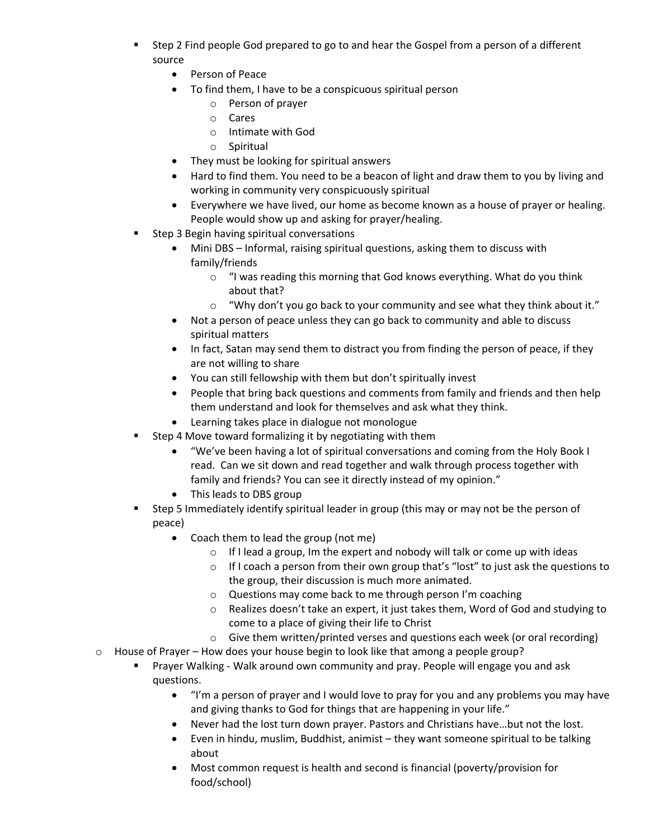- Step 2 Find people God prepared to go to and hear the Gospel from a person of a different source
	- Person of Peace
	- To find them, I have to be a conspicuous spiritual person
		- o Person of prayer
		- o Cares
		- o Intimate with God
		- o Spiritual
	- They must be looking for spiritual answers
	- Hard to find them. You need to be a beacon of light and draw them to you by living and working in community very conspicuously spiritual
	- Everywhere we have lived, our home as become known as a house of prayer or healing. People would show up and asking for prayer/healing.
- Step 3 Begin having spiritual conversations
	- Mini DBS Informal, raising spiritual questions, asking them to discuss with family/friends
		- $\circ$  "I was reading this morning that God knows everything. What do you think about that?
		- $\circ$  "Why don't you go back to your community and see what they think about it."
	- Not a person of peace unless they can go back to community and able to discuss spiritual matters
	- In fact, Satan may send them to distract you from finding the person of peace, if they are not willing to share
	- You can still fellowship with them but don't spiritually invest
	- People that bring back questions and comments from family and friends and then help them understand and look for themselves and ask what they think.
	- Learning takes place in dialogue not monologue
- **Step 4 Move toward formalizing it by negotiating with them** 
	- "We've been having a lot of spiritual conversations and coming from the Holy Book I read. Can we sit down and read together and walk through process together with family and friends? You can see it directly instead of my opinion."
	- This leads to DBS group
- Step 5 Immediately identify spiritual leader in group (this may or may not be the person of peace)
	- Coach them to lead the group (not me)
		- o If I lead a group, Im the expert and nobody will talk or come up with ideas
		- $\circ$  If I coach a person from their own group that's "lost" to just ask the questions to the group, their discussion is much more animated.
		- o Questions may come back to me through person I'm coaching
		- $\circ$  Realizes doesn't take an expert, it just takes them, Word of God and studying to come to a place of giving their life to Christ
		- $\circ$  Give them written/printed verses and questions each week (or oral recording)
- $\circ$  House of Prayer How does your house begin to look like that among a people group?
	- Prayer Walking Walk around own community and pray. People will engage you and ask questions.
		- "I'm a person of prayer and I would love to pray for you and any problems you may have and giving thanks to God for things that are happening in your life."
		- Never had the lost turn down prayer. Pastors and Christians have…but not the lost.
		- Even in hindu, muslim, Buddhist, animist they want someone spiritual to be talking about
		- Most common request is health and second is financial (poverty/provision for food/school)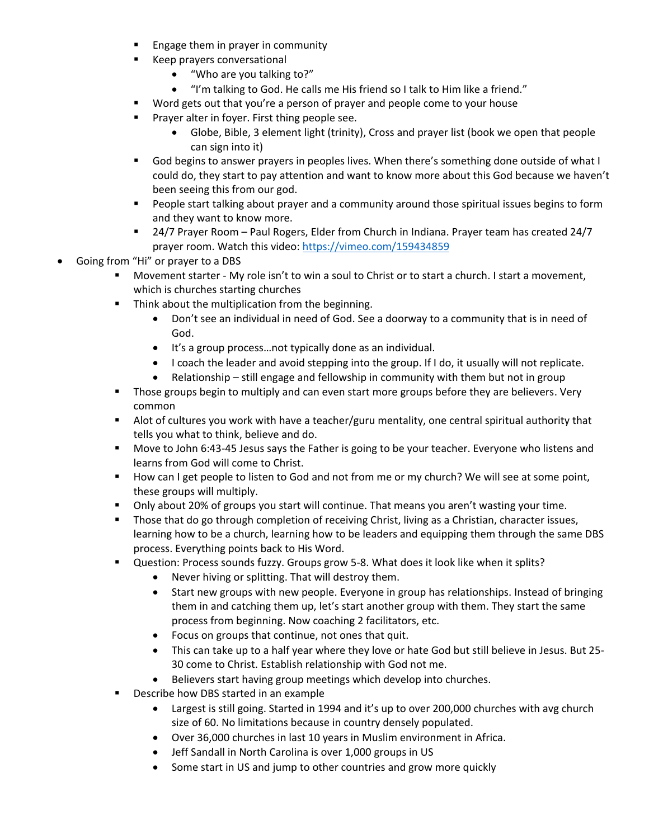- Engage them in prayer in community
- **Keep prayers conversational** 
	- "Who are you talking to?"
	- "I'm talking to God. He calls me His friend so I talk to Him like a friend."
- **Word gets out that you're a person of prayer and people come to your house**
- Prayer alter in foyer. First thing people see.
	- Globe, Bible, 3 element light (trinity), Cross and prayer list (book we open that people can sign into it)
- God begins to answer prayers in peoples lives. When there's something done outside of what I could do, they start to pay attention and want to know more about this God because we haven't been seeing this from our god.
- People start talking about prayer and a community around those spiritual issues begins to form and they want to know more.
- 24/7 Prayer Room Paul Rogers, Elder from Church in Indiana. Prayer team has created 24/7 prayer room. Watch this video[: https://vimeo.com/159434859](https://vimeo.com/159434859)
- Going from "Hi" or prayer to a DBS
	- Movement starter My role isn't to win a soul to Christ or to start a church. I start a movement, which is churches starting churches
	- **Think about the multiplication from the beginning.** 
		- Don't see an individual in need of God. See a doorway to a community that is in need of God.
		- It's a group process…not typically done as an individual.
		- I coach the leader and avoid stepping into the group. If I do, it usually will not replicate.
		- Relationship still engage and fellowship in community with them but not in group
	- **Those groups begin to multiply and can even start more groups before they are believers. Very** common
	- Alot of cultures you work with have a teacher/guru mentality, one central spiritual authority that tells you what to think, believe and do.
	- **Move to John 6:43-45 Jesus says the Father is going to be your teacher. Everyone who listens and** learns from God will come to Christ.
	- **How can I get people to listen to God and not from me or my church? We will see at some point,** these groups will multiply.
	- Only about 20% of groups you start will continue. That means you aren't wasting your time.
	- **Those that do go through completion of receiving Christ, living as a Christian, character issues,** learning how to be a church, learning how to be leaders and equipping them through the same DBS process. Everything points back to His Word.
	- Question: Process sounds fuzzy. Groups grow 5-8. What does it look like when it splits?
		- Never hiving or splitting. That will destroy them.
		- Start new groups with new people. Everyone in group has relationships. Instead of bringing them in and catching them up, let's start another group with them. They start the same process from beginning. Now coaching 2 facilitators, etc.
		- Focus on groups that continue, not ones that quit.
		- This can take up to a half year where they love or hate God but still believe in Jesus. But 25- 30 come to Christ. Establish relationship with God not me.
		- Believers start having group meetings which develop into churches.
	- Describe how DBS started in an example
		- Largest is still going. Started in 1994 and it's up to over 200,000 churches with avg church size of 60. No limitations because in country densely populated.
		- Over 36,000 churches in last 10 years in Muslim environment in Africa.
		- Jeff Sandall in North Carolina is over 1,000 groups in US
		- Some start in US and jump to other countries and grow more quickly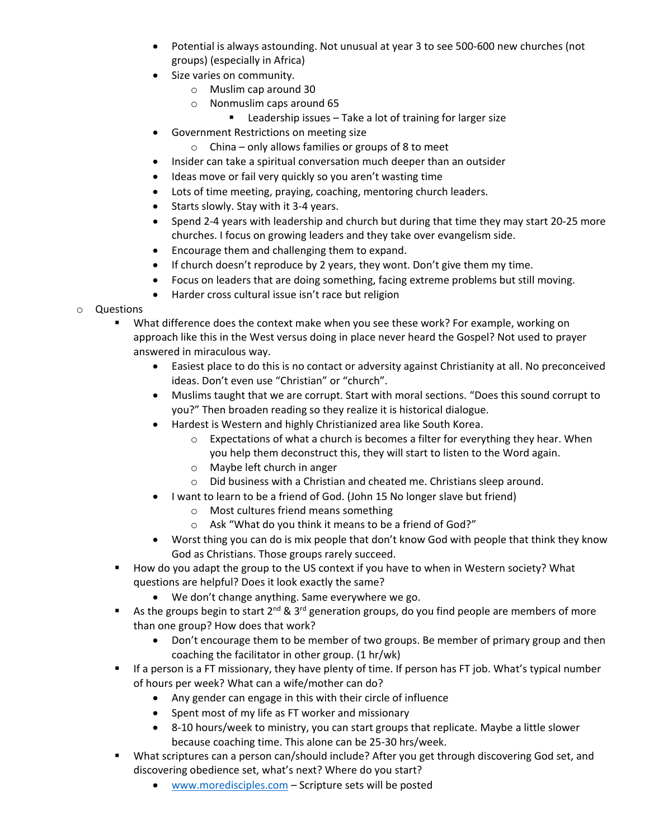- Potential is always astounding. Not unusual at year 3 to see 500-600 new churches (not groups) (especially in Africa)
- Size varies on community.
	- o Muslim cap around 30
	- o Nonmuslim caps around 65
		- Leadership issues Take a lot of training for larger size
- Government Restrictions on meeting size
	- $\circ$  China only allows families or groups of 8 to meet
- Insider can take a spiritual conversation much deeper than an outsider
- Ideas move or fail very quickly so you aren't wasting time
- Lots of time meeting, praying, coaching, mentoring church leaders.
- Starts slowly. Stay with it 3-4 years.
- Spend 2-4 years with leadership and church but during that time they may start 20-25 more churches. I focus on growing leaders and they take over evangelism side.
- Encourage them and challenging them to expand.
- If church doesn't reproduce by 2 years, they wont. Don't give them my time.
- Focus on leaders that are doing something, facing extreme problems but still moving.
- Harder cross cultural issue isn't race but religion
- o Questions
	- What difference does the context make when you see these work? For example, working on approach like this in the West versus doing in place never heard the Gospel? Not used to prayer answered in miraculous way.
		- Easiest place to do this is no contact or adversity against Christianity at all. No preconceived ideas. Don't even use "Christian" or "church".
		- Muslims taught that we are corrupt. Start with moral sections. "Does this sound corrupt to you?" Then broaden reading so they realize it is historical dialogue.
		- Hardest is Western and highly Christianized area like South Korea.
			- $\circ$  Expectations of what a church is becomes a filter for everything they hear. When you help them deconstruct this, they will start to listen to the Word again.
			- o Maybe left church in anger
			- o Did business with a Christian and cheated me. Christians sleep around.
		- I want to learn to be a friend of God. (John 15 No longer slave but friend)
			- o Most cultures friend means something
			- o Ask "What do you think it means to be a friend of God?"
		- Worst thing you can do is mix people that don't know God with people that think they know God as Christians. Those groups rarely succeed.
	- **How do you adapt the group to the US context if you have to when in Western society? What** questions are helpful? Does it look exactly the same?
		- We don't change anything. Same everywhere we go.
	- As the groups begin to start  $2^{nd}$  &  $3^{rd}$  generation groups, do you find people are members of more than one group? How does that work?
		- Don't encourage them to be member of two groups. Be member of primary group and then coaching the facilitator in other group. (1 hr/wk)
	- If a person is a FT missionary, they have plenty of time. If person has FT job. What's typical number of hours per week? What can a wife/mother can do?
		- Any gender can engage in this with their circle of influence
		- Spent most of my life as FT worker and missionary
		- 8-10 hours/week to ministry, you can start groups that replicate. Maybe a little slower because coaching time. This alone can be 25-30 hrs/week.
	- What scriptures can a person can/should include? After you get through discovering God set, and discovering obedience set, what's next? Where do you start?
		- [www.moredisciples.com](http://www.moredisciples.com/) Scripture sets will be posted